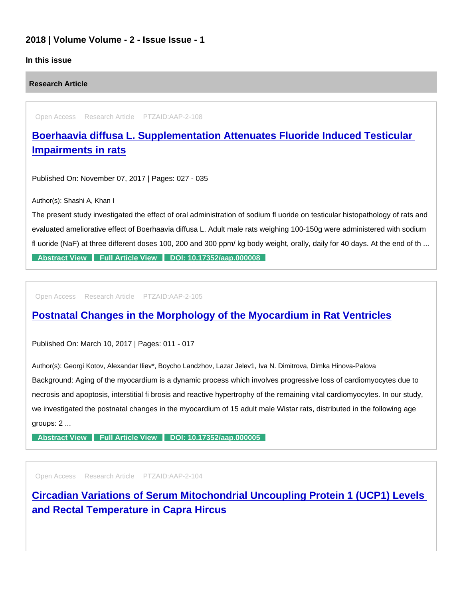# 2018 | Volume Volume - 2 - Issue Issue - 1

### In this issue

Research Article

Open Access Research Article PTZAID:AAP-2-108

[Boerhaavia diffusa L. Supplementation Attenuates Fluoride Induced Testicular](https://www.peertechzpublications.com/articles/boerhaavia-diffusa-l-supplementation-attenuates-fluoride-induced-testicular-impairments-in-rats)  Impairments in rats

Published On: November 07, 2017 | Pages: 027 - 035

Author(s): Shashi A, Khan I

The present study investigated the effect of oral administration of sodium fl uoride on testicular histopathology of rats and evaluated ameliorative effect of Boerhaavia diffusa L. Adult male rats weighing 100-150g were administered with sodium fl uoride (NaF) at three different doses 100, 200 and 300 ppm/ kg body weight, orally, daily for 40 days. At the end of th ...

[Abstract View](https://www.peertechzpublications.com/abstracts/boerhaavia-diffusa-l-supplementation-attenuates-fluoride-induced-testicular-impairments-in-rats) [Full Article View](https://www.peertechzpublications.com/articles/boerhaavia-diffusa-l-supplementation-attenuates-fluoride-induced-testicular-impairments-in-rats) [DOI: 10.17352/aap.000008](http://dx.doi.org/10.17352/aap.000008)

Open Access Research Article PTZAID:AAP-2-105

# [Postnatal Changes in the Morphology of the Myocardium in Rat Ventricles](https://www.peertechzpublications.com/articles/postnatal-changes-in-the-morphology-of-the-myocardium-in-rat-ventricles)

Published On: March 10, 2017 | Pages: 011 - 017

Author(s): Georgi Kotov, Alexandar Iliev\*, Boycho Landzhov, Lazar Jelev1, Iva N. Dimitrova, Dimka Hinova-Palova Background: Aging of the myocardium is a dynamic process which involves progressive loss of cardiomyocytes due to necrosis and apoptosis, interstitial fi brosis and reactive hypertrophy of the remaining vital cardiomyocytes. In our study, we investigated the postnatal changes in the myocardium of 15 adult male Wistar rats, distributed in the following age groups: 2 ...

[Abstract View](https://www.peertechzpublications.com/abstracts/postnatal-changes-in-the-morphology-of-the-myocardium-in-rat-ventricles) [Full Article View](https://www.peertechzpublications.com/articles/postnatal-changes-in-the-morphology-of-the-myocardium-in-rat-ventricles) [DOI: 10.17352/aap.000005](http://dx.doi.org/10.17352/aap.000005)

Open Access Research Article PTZAID:AAP-2-104

[Circadian Variations of Serum Mitochondrial Uncoupling Protein 1 \(UCP1\) Levels](https://www.peertechzpublications.com/articles/circadian-variations-of-serum-mitochondrial-uncoupling-protein-1-ucp1-levels-and-rectal-temperature-in-capra-hircus)  and Rectal Temperature in Capra Hircus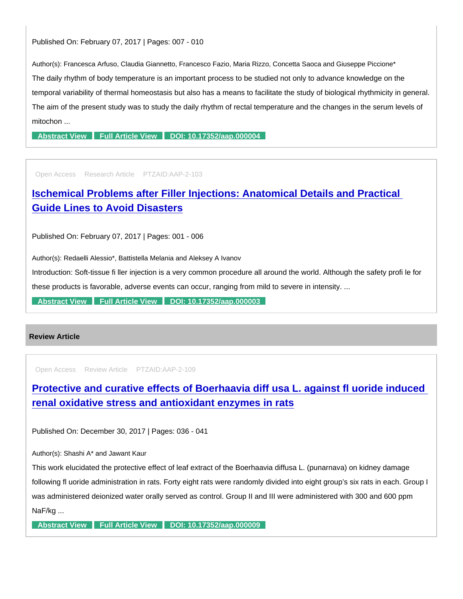#### Published On: February 07, 2017 | Pages: 007 - 010

Author(s): Francesca Arfuso, Claudia Giannetto, Francesco Fazio, Maria Rizzo, Concetta Saoca and Giuseppe Piccione\* The daily rhythm of body temperature is an important process to be studied not only to advance knowledge on the temporal variability of thermal homeostasis but also has a means to facilitate the study of biological rhythmicity in general. The aim of the present study was to study the daily rhythm of rectal temperature and the changes in the serum levels of mitochon ...

[Abstract View](https://www.peertechzpublications.com/abstracts/circadian-variations-of-serum-mitochondrial-uncoupling-protein-1-ucp1-levels-and-rectal-temperature-in-capra-hircus) [Full Article View](https://www.peertechzpublications.com/articles/circadian-variations-of-serum-mitochondrial-uncoupling-protein-1-ucp1-levels-and-rectal-temperature-in-capra-hircus) [DOI: 10.17352/aap.000004](http://dx.doi.org/10.17352/aap.000004)

Open Access Research Article PTZAID:AAP-2-103

[Ischemical Problems after Filler Injections: Anatomical Details and Practical](https://www.peertechzpublications.com/articles/ischemical-problems-after-filler-injections-anatomical-details-and-practical-guide-lines-to-avoid-disasters)  Guide Lines to Avoid Disasters

Published On: February 07, 2017 | Pages: 001 - 006

Author(s): Redaelli Alessio\*, Battistella Melania and Aleksey A Ivanov

Introduction: Soft-tissue fi ller injection is a very common procedure all around the world. Although the safety profi le for these products is favorable, adverse events can occur, ranging from mild to severe in intensity. ...

[Abstract View](https://www.peertechzpublications.com/abstracts/ischemical-problems-after-filler-injections-anatomical-details-and-practical-guide-lines-to-avoid-disasters) [Full Article View](https://www.peertechzpublications.com/articles/ischemical-problems-after-filler-injections-anatomical-details-and-practical-guide-lines-to-avoid-disasters) [DOI: 10.17352/aap.000003](http://dx.doi.org/10.17352/aap.000003)

## Review Article

Open Access Review Article PTZAID:AAP-2-109

[Protective and curative effects of Boerhaavia diff usa L. against fl uoride induced](https://www.peertechzpublications.com/articles/protective-and-curative-effects-of-boerhaavia-diff-usa-l-against-fl-uoride-induced-renal-oxidative-stress-and-antioxidant-enzymes-in-rats)  renal oxidative stress and antioxidant enzymes in rats

Published On: December 30, 2017 | Pages: 036 - 041

Author(s): Shashi A\* and Jawant Kaur

This work elucidated the protective effect of leaf extract of the Boerhaavia diffusa L. (punarnava) on kidney damage following fl uoride administration in rats. Forty eight rats were randomly divided into eight group's six rats in each. Group I was administered deionized water orally served as control. Group II and III were administered with 300 and 600 ppm NaF/kg ...

[Abstract View](https://www.peertechzpublications.com/abstracts/protective-and-curative-effects-of-boerhaavia-diff-usa-l-against-fl-uoride-induced-renal-oxidative-stress-and-antioxidant-enzymes-in-rats) [Full Article View](https://www.peertechzpublications.com/articles/protective-and-curative-effects-of-boerhaavia-diff-usa-l-against-fl-uoride-induced-renal-oxidative-stress-and-antioxidant-enzymes-in-rats) [DOI: 10.17352/aap.000009](http://dx.doi.org/10.17352/aap.000009)